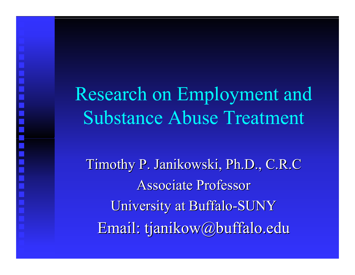Research on Employment and Substance Abuse Treatment

MI MI MI MI

Timothy P. Janikowski, Ph.D., C.R.C Timothy P. Janikowski, Ph.D., C.R.C Associate Professor Uni versit y at Buffalo -SUNY Email: tjanikow@buffalo.edu Email: tjanikow@buffalo.edu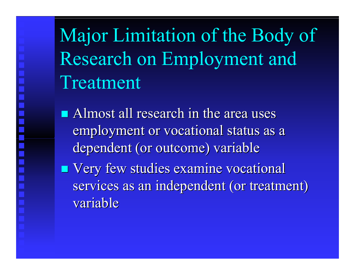Major Limitation of the Body of Research on Employment and Treatment

- $\blacksquare$  Almost all research in the area uses employment or vocational status as a dependent (or outcome) variable
- **Nery few studies examine vocational** services as an independent (or treatment) variabl e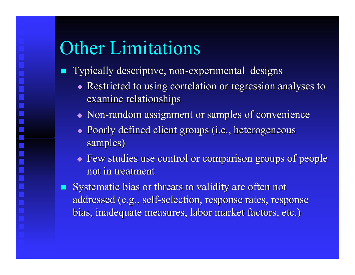# Other Limitations

- **Typically descriptive, non-experimental designs** 
	- $\blacklozenge$  Restricted to using correlation or regression analyses to examine relationships
	- $\blacklozenge$  Non-random assignment or samples of convenience
	- $\blacklozenge$  Poorly defined client groups (i.e., heterogeneous samples)
	- $\blacklozenge$  Few studies use control or comparison groups of people not in treatment
- . Systematic bias or threats to validity are often not addressed (e.g., self-selection, response rates, response bias, inadequate measures, labor market factors, etc.)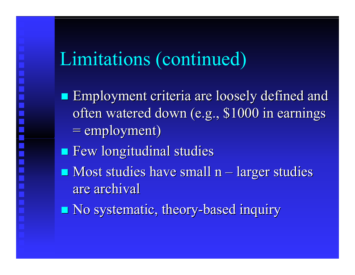# Limitations (continued)

- $\blacksquare$  Employment criteria are loosely defined and often watered down (e.g., \$1000 in earnings  $=$  employment)
- **Example 19 Few longitudinal studies**
- $\blacksquare$  Most studies have small n **– London Maria Andrew Maria Andrew Maria** – larger studies are archival
- **No systematic, theory-based inquiry**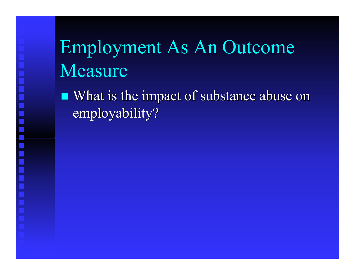# Employment As An Outcome Measure

**CONTRACTOR** What is the impact of substance abuse on employability?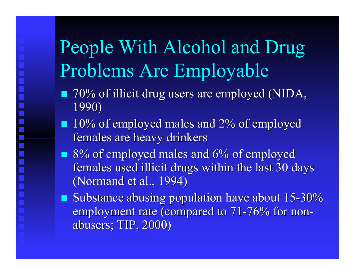# People With Alcohol and Drug Problems Are Employable

- $\blacksquare$  70% of illicit drug users are employed (NIDA, 1990)
- $\blacksquare$  10% of employed males and 2% of employed females are heavy drinkers
- $\blacksquare$  8% of employed males and 6% of employed females used illicit drugs within the last 30 days (Normand et al., 1994)
- **Substance abusing population have about 15-30%** employment rate (compared to 71-76% for nonabusers; TIP, 2000) abusers; TIP, 2000)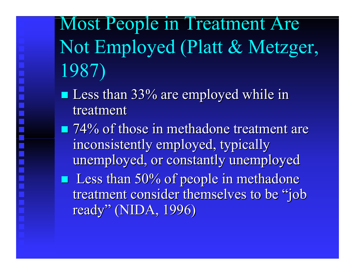Most People in Treatment Are Not Employed (Platt & Metzger, 1987)

- Less than 33% are employed while in treatment
- $\blacksquare$  74% of those in methadone treatment are inconsistently employed, typically unemployed, or constantly unemployed **Less than 50% of people in methadone** treatment consider themselves to be "job" ready" (NIDA, 1996)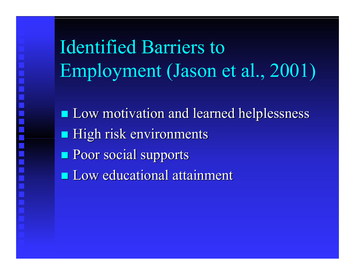n kili kili kili kili kili <u>era</u>

Identified Barriers to Employment (Jason et al., 2001)

 $\blacksquare$  Low motivation and learned helplessness **High risk environments Poor social supports Low educational attainment**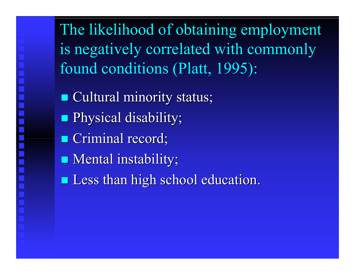The likelihood of obtaining employment is negatively correlated with commonly found conditions (Platt, 1995):

**Cultural minority status; Physical disability; Criminal record; Nental instability;** 

 $\blacksquare$  Less than high school education.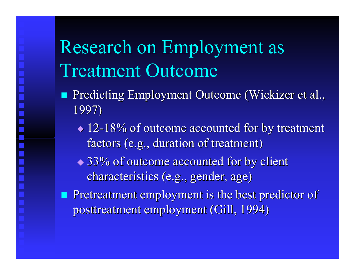# Research on Employment as Treatment Outcome

- Predicting Employment Outcome (Wickizer et al., 1997)
	- $\triangle$  12-18% of outcome accounted for by treatment factors (e.g., duration of treatment)
	- $\triangle$  33% of outcome accounted for by client characteristics (e.g., gender, age)
- **Pretreatment employment is the best predictor of** posttreatment employment (Gill, 1994)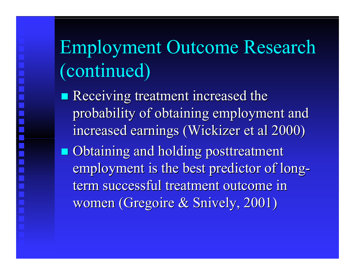Employment Outcome Research (continued)

 $\blacksquare$  Receiving treatment increased the probability of obtaining employment and increased earnings (Wickizer et al 2000)  $\blacksquare$  Obtaining and holding posttreatment employment is the best predictor of long term successful treatment outcome in women (Gregoire & Snively, 2001)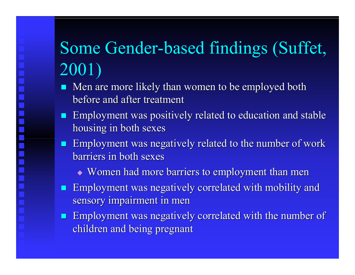## Some Gender-based findings (Suffet, 2001)

- **I** Men are more likely than women to be employed both before and after treatment
- **Employment was positively related to education and stable** housing in both sexes
- **Employment was negatively related to the number of work** barriers in both sexes
	- $\bullet$  Women had more barriers to employment than men
- **Employment was negatively correlated with mobility and**  $\blacksquare$ sensory impairment in men
- **Employment was negatively correlated with the number of** children and being pregnant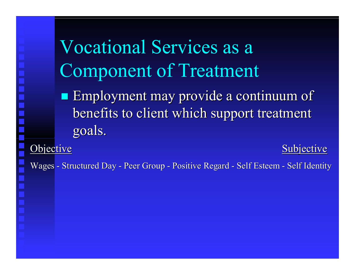Vocational Services as a Component of Treatment

**Employment may provide a continuum of** benefits to client which support treatment goals.

Objec tive

Subjective

Wages - Structured Day - Pee r G roup - Po sitiv e Regard - Self Esteem - Self Identity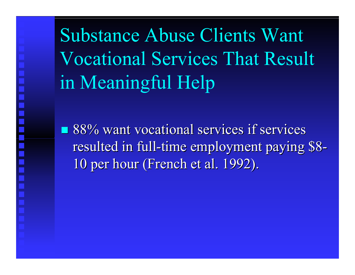Substance Abuse Clients Want Vocational Services That Result in Meaningful Help

 $\blacksquare$  88% want vocational services if services resulted in full-time employment paying \$8 - 10 per hour (French et al. 1992).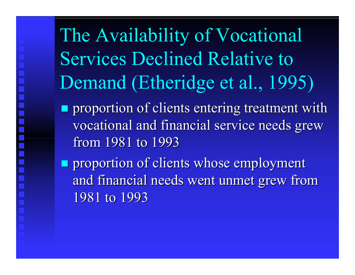The Availability of Vocational Services Declined Relative to Demand (Etheridge et al., 1995)

- $\blacksquare$  proportion of clients entering treatment with vocational and financial service needs grew from 1981 to 1993
- $\blacksquare$  proportion of clients whose employment and financial needs went unmet grew from 1981 to 1993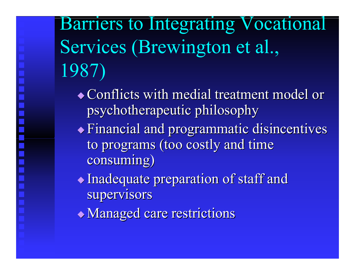Barriers to Integrating Vocational Services (Brewington et al., 1987)

- $\triangle$  Conflicts with medial treatment model or psychotherapeutic philosophy psychotherapeutic philosophy
- $\blacklozenge$  Financial and programmatic disincentives to programs (too costly and time consuming) consuming)
- $\blacklozenge$  Inadequate preparation of staff and supervisors
- $\blacklozenge$  Managed care restrictions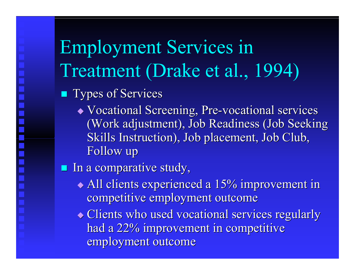Employment Services in Treatment (Drake et al., 1994)

- **Types of Services** 
	- Vocational Screening, Pre-vocational services (Work adjustment), Job Readiness (Job Seeking Skills Instruction), Job placement, Job Club, Follow up
- $\blacksquare$  In a comparative study,
	- $\blacklozenge$  All clients experienced a 15% improvement in competitive employment outcome
	- $\blacklozenge$  Clients who used vocational services regularly had a 22% improvement in competitive employment outcome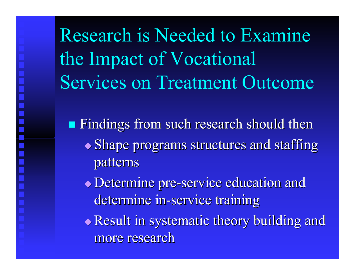Research is Needed to Examine the Impact of Vocational Services on Treatment Outcome

 $\blacksquare$  Findings from such research should then

 $\blacklozenge$  Shape programs structures and staffing patterns

 $\bullet$  Determine pre-service education and determine in-service training

Result in systematic theory building and more research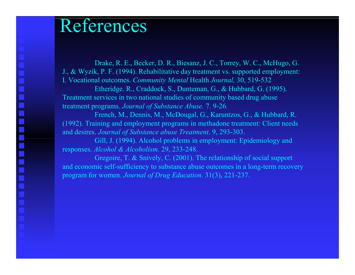#### References

Drake, R. E., Becker, D. R., Biesanz, J. C., Torrey, W. C., McHugo, G. J., & Wyzik, P. F. (1994). Rehabilitative day treatment vs. supported employment: I. Vocational outcomes. *Community Mental* Health *Journal,* 30, 519-532 Etheridge. R., Craddock, S., Dunteman, G., & Hubbard, G. (1995). Treatment services in two national studies of community based drug abuse treatment programs. *Journal of Substance Abuse.* 7. 9-26*.*

French, M., Dennis, M., McDougal, G., Karuntzos, G., & Hubbard, R. (1992). Training and employment programs in methadone treatment: Client needs and desires. *Journal of Substance abuse Treatment*. 9, 293-303.

Gill, J. (1994). Alcohol problems in employment: Epidemiology and responses. *Alcohol & Alcoholism.* 29, 233-248.

Gregoire, T. & Snively, C. (2001). The relationship of social support and economic self-sufficiency to substance abuse outcomes in a long-term recovery program for women. *Journal of Drug Education*. 31(3), 221-237.